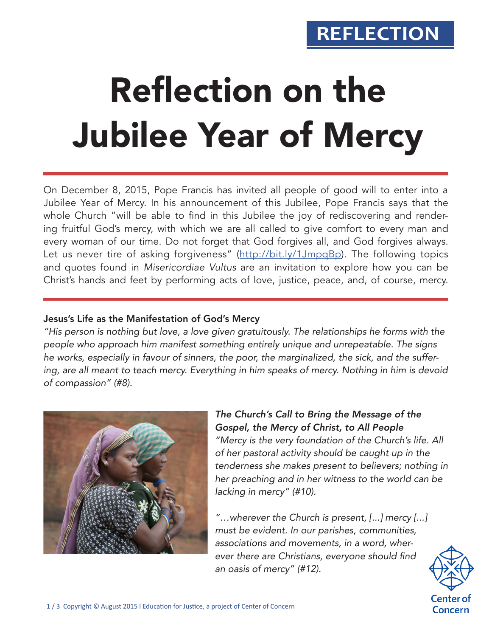# **REFLECTION**

# Reflection on the Jubilee Year of Mercy

On December 8, 2015, Pope Francis has invited all people of good will to enter into a Jubilee Year of Mercy. In his announcement of this Jubilee, Pope Francis says that the whole Church "will be able to find in this Jubilee the joy of rediscovering and rendering fruitful God's mercy, with which we are all called to give comfort to every man and every woman of our time. Do not forget that God forgives all, and God forgives always. Let us never tire of asking forgiveness" (http://bit.ly/1JmpqBp). The following topics and quotes found in *Misericordiae Vultus* are an invitation to explore how you can be Christ's hands and feet by performing acts of love, justice, peace, and, of course, mercy.

#### Jesus's Life as the Manifestation of God's Mercy

*"His person is nothing but love, a love given gratuitously. The relationships he forms with the people who approach him manifest something entirely unique and unrepeatable. The signs he works, especially in favour of sinners, the poor, the marginalized, the sick, and the suffering, are all meant to teach mercy. Everything in him speaks of mercy. Nothing in him is devoid of compassion" (#8).*



### *The Church's Call to Bring the Message of the Gospel, the Mercy of Christ, to All People*

*"Mercy is the very foundation of the Church's life. All of her pastoral activity should be caught up in the tenderness she makes present to believers; nothing in her preaching and in her witness to the world can be lacking in mercy" (#10).*

*"…wherever the Church is present, [...] mercy [...] must be evident. In our parishes, communities, associations and movements, in a word, wher*ever there are Christians, everyone should find *an oasis of mercy" (#12).*

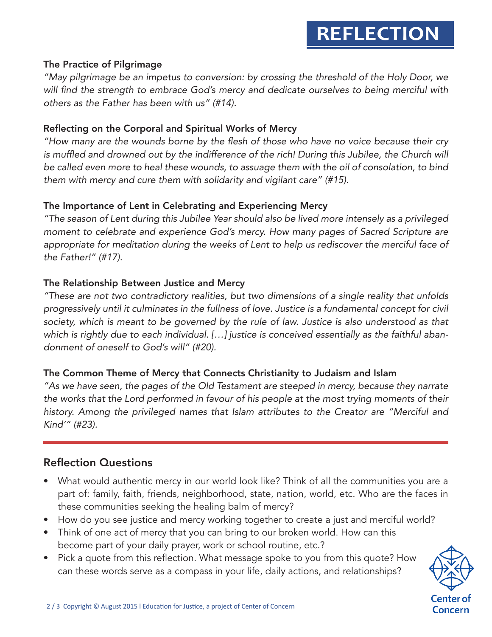#### The Practice of Pilgrimage

*"May pilgrimage be an impetus to conversion: by crossing the threshold of the Holy Door, we*  will find the strength to embrace God's mercy and dedicate ourselves to being merciful with *others as the Father has been with us" (#14).*

#### Reflecting on the Corporal and Spiritual Works of Mercy

"How many are the wounds borne by the flesh of those who have no voice because their cry is muffled and drowned out by the indifference of the rich! During this Jubilee, the Church will *be called even more to heal these wounds, to assuage them with the oil of consolation, to bind them with mercy and cure them with solidarity and vigilant care" (#15).*

#### The Importance of Lent in Celebrating and Experiencing Mercy

"The season of Lent during this Jubilee Year should also be lived more intensely as a privileged moment to celebrate and experience God's mercy. How many pages of Sacred Scripture are *appropriate for meditation during the weeks of Lent to help us rediscover the merciful face of*  the Father!" (#17).

#### The Relationship Between Justice and Mercy

*"These are not two contradictory realities, but two dimensions of a single reality that unfolds*  progressively until it culminates in the fullness of love. Justice is a fundamental concept for civil society, which is meant to be governed by the rule of law. Justice is also understood as that *which is rightly due to each individual. […] justice is conceived essentially as the faithful aban*donment of oneself to God's will" (#20).

#### The Common Theme of Mercy that Connects Christianity to Judaism and Islam

*"As we have seen, the pages of the Old Testament are steeped in mercy, because they narrate the works that the Lord performed in favour of his people at the most trying moments of their history. Among the privileged names that Islam attributes to the Creator are "Merciful and Kind'" (#23).*

#### Reflection Questions

- What would authentic mercy in our world look like? Think of all the communities you are a part of: family, faith, friends, neighborhood, state, nation, world, etc. Who are the faces in these communities seeking the healing balm of mercy?
- How do you see justice and mercy working together to create a just and merciful world?
- Think of one act of mercy that you can bring to our broken world. How can this become part of your daily prayer, work or school routine, etc.?
- Pick a quote from this reflection. What message spoke to you from this quote? How can these words serve as a compass in your life, daily actions, and relationships?